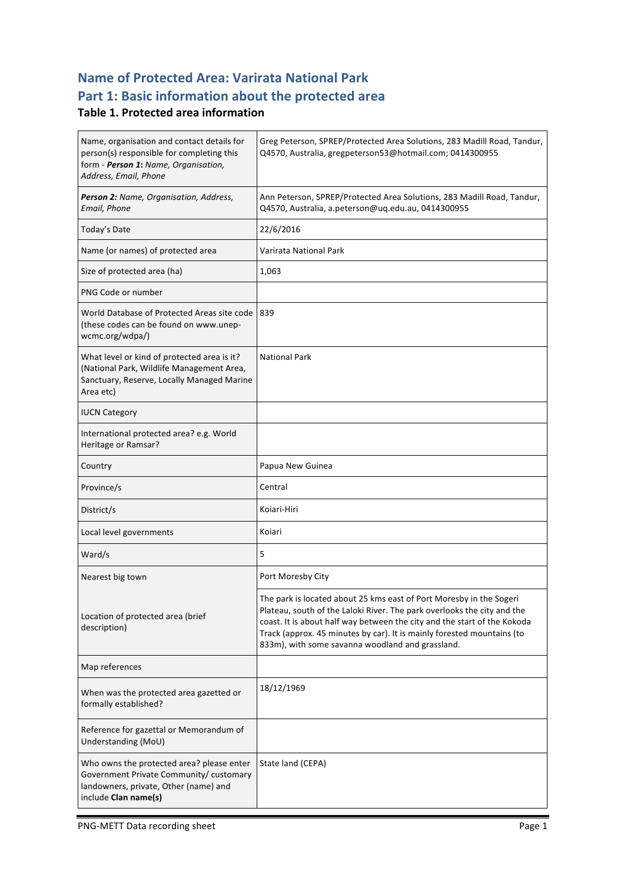## **Name of Protected Area: Varirata National Park** Part 1: Basic information about the protected area

### **Table 1. Protected area information**

| Name, organisation and contact details for<br>person(s) responsible for completing this<br>form - Person 1: Name, Organisation,<br>Address, Email, Phone | Greg Peterson, SPREP/Protected Area Solutions, 283 Madill Road, Tandur,<br>Q4570, Australia, gregpeterson53@hotmail.com; 0414300955                                                                                                                                                                                                                      |  |
|----------------------------------------------------------------------------------------------------------------------------------------------------------|----------------------------------------------------------------------------------------------------------------------------------------------------------------------------------------------------------------------------------------------------------------------------------------------------------------------------------------------------------|--|
| Person 2: Name, Organisation, Address,<br>Email, Phone                                                                                                   | Ann Peterson, SPREP/Protected Area Solutions, 283 Madill Road, Tandur,<br>Q4570, Australia, a.peterson@uq.edu.au, 0414300955                                                                                                                                                                                                                             |  |
| Today's Date                                                                                                                                             | 22/6/2016                                                                                                                                                                                                                                                                                                                                                |  |
| Name (or names) of protected area                                                                                                                        | Varirata National Park                                                                                                                                                                                                                                                                                                                                   |  |
| Size of protected area (ha)                                                                                                                              | 1,063                                                                                                                                                                                                                                                                                                                                                    |  |
| PNG Code or number                                                                                                                                       |                                                                                                                                                                                                                                                                                                                                                          |  |
| World Database of Protected Areas site code<br>(these codes can be found on www.unep-<br>wcmc.org/wdpa/)                                                 | 839                                                                                                                                                                                                                                                                                                                                                      |  |
| What level or kind of protected area is it?<br>(National Park, Wildlife Management Area,<br>Sanctuary, Reserve, Locally Managed Marine<br>Area etc)      | <b>National Park</b>                                                                                                                                                                                                                                                                                                                                     |  |
| <b>IUCN Category</b>                                                                                                                                     |                                                                                                                                                                                                                                                                                                                                                          |  |
| International protected area? e.g. World<br>Heritage or Ramsar?                                                                                          |                                                                                                                                                                                                                                                                                                                                                          |  |
| Country                                                                                                                                                  | Papua New Guinea                                                                                                                                                                                                                                                                                                                                         |  |
| Province/s                                                                                                                                               | Central                                                                                                                                                                                                                                                                                                                                                  |  |
| District/s                                                                                                                                               | Koiari-Hiri                                                                                                                                                                                                                                                                                                                                              |  |
| Local level governments                                                                                                                                  | Koiari                                                                                                                                                                                                                                                                                                                                                   |  |
| Ward/s                                                                                                                                                   | 5                                                                                                                                                                                                                                                                                                                                                        |  |
| Nearest big town                                                                                                                                         | Port Moresby City                                                                                                                                                                                                                                                                                                                                        |  |
| Location of protected area (brief<br>description)                                                                                                        | The park is located about 25 kms east of Port Moresby in the Sogeri<br>Plateau, south of the Laloki River. The park overlooks the city and the<br>coast. It is about half way between the city and the start of the Kokoda<br>Track (approx. 45 minutes by car). It is mainly forested mountains (to<br>833m), with some savanna woodland and grassland. |  |
| Map references                                                                                                                                           |                                                                                                                                                                                                                                                                                                                                                          |  |
| When was the protected area gazetted or<br>formally established?                                                                                         | 18/12/1969                                                                                                                                                                                                                                                                                                                                               |  |
| Reference for gazettal or Memorandum of<br>Understanding (MoU)                                                                                           |                                                                                                                                                                                                                                                                                                                                                          |  |
| Who owns the protected area? please enter<br>Government Private Community/ customary<br>landowners, private, Other (name) and<br>include Clan name(s)    | State land (CEPA)                                                                                                                                                                                                                                                                                                                                        |  |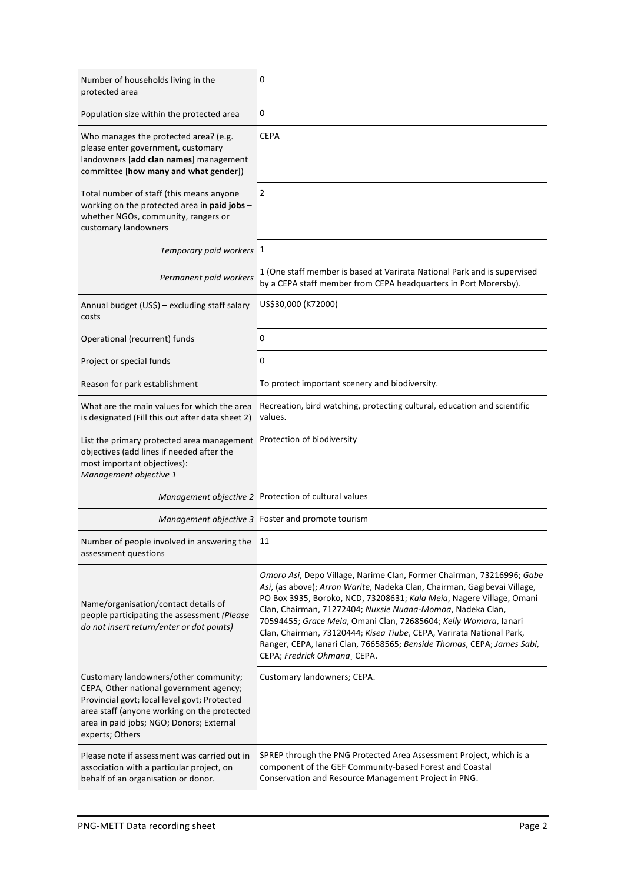| Number of households living in the<br>protected area                                                                                                                            | 0                                                                                                                                                                                                                                                                                                                                                                                                                                                                                                                                             |
|---------------------------------------------------------------------------------------------------------------------------------------------------------------------------------|-----------------------------------------------------------------------------------------------------------------------------------------------------------------------------------------------------------------------------------------------------------------------------------------------------------------------------------------------------------------------------------------------------------------------------------------------------------------------------------------------------------------------------------------------|
| Population size within the protected area                                                                                                                                       | 0                                                                                                                                                                                                                                                                                                                                                                                                                                                                                                                                             |
| Who manages the protected area? (e.g.<br>please enter government, customary<br>landowners [add clan names] management<br>committee [how many and what gender])                  | <b>CEPA</b>                                                                                                                                                                                                                                                                                                                                                                                                                                                                                                                                   |
| Total number of staff (this means anyone<br>working on the protected area in paid jobs -<br>whether NGOs, community, rangers or<br>customary landowners                         | 2                                                                                                                                                                                                                                                                                                                                                                                                                                                                                                                                             |
| Temporary paid workers 1                                                                                                                                                        |                                                                                                                                                                                                                                                                                                                                                                                                                                                                                                                                               |
| Permanent paid workers                                                                                                                                                          | 1 (One staff member is based at Varirata National Park and is supervised<br>by a CEPA staff member from CEPA headquarters in Port Morersby).                                                                                                                                                                                                                                                                                                                                                                                                  |
| Annual budget (US\$) - excluding staff salary<br>costs                                                                                                                          | US\$30,000 (K72000)                                                                                                                                                                                                                                                                                                                                                                                                                                                                                                                           |
| Operational (recurrent) funds                                                                                                                                                   | 0                                                                                                                                                                                                                                                                                                                                                                                                                                                                                                                                             |
| Project or special funds                                                                                                                                                        | 0                                                                                                                                                                                                                                                                                                                                                                                                                                                                                                                                             |
| Reason for park establishment                                                                                                                                                   | To protect important scenery and biodiversity.                                                                                                                                                                                                                                                                                                                                                                                                                                                                                                |
| What are the main values for which the area<br>is designated (Fill this out after data sheet 2)                                                                                 | Recreation, bird watching, protecting cultural, education and scientific<br>values.                                                                                                                                                                                                                                                                                                                                                                                                                                                           |
| List the primary protected area management<br>objectives (add lines if needed after the<br>most important objectives):<br>Management objective 1                                | Protection of biodiversity                                                                                                                                                                                                                                                                                                                                                                                                                                                                                                                    |
| Management objective 2                                                                                                                                                          | Protection of cultural values                                                                                                                                                                                                                                                                                                                                                                                                                                                                                                                 |
| Management objective 3                                                                                                                                                          | Foster and promote tourism                                                                                                                                                                                                                                                                                                                                                                                                                                                                                                                    |
| Number of people involved in answering the<br>assessment questions                                                                                                              | 11                                                                                                                                                                                                                                                                                                                                                                                                                                                                                                                                            |
| Name/organisation/contact details of<br>people participating the assessment (Please<br>do not insert return/enter or dot points)                                                | Omoro Asi, Depo Village, Narime Clan, Former Chairman, 73216996; Gabe<br>Asi, (as above); Arron Warite, Nadeka Clan, Chairman, Gagibevai Village,<br>PO Box 3935, Boroko, NCD, 73208631; Kala Meia, Nagere Village, Omani<br>Clan, Chairman, 71272404; Nuxsie Nuana-Momoa, Nadeka Clan,<br>70594455; Grace Meia, Omani Clan, 72685604; Kelly Womara, Ianari<br>Clan, Chairman, 73120444; Kisea Tiube, CEPA, Varirata National Park,<br>Ranger, CEPA, Ianari Clan, 76658565; Benside Thomas, CEPA; James Sabi,<br>CEPA; Fredrick Ohmana, CEPA. |
| Customary landowners/other community;<br>CEPA, Other national government agency;<br>Provincial govt; local level govt; Protected<br>area staff (anyone working on the protected | Customary landowners; CEPA.                                                                                                                                                                                                                                                                                                                                                                                                                                                                                                                   |
| area in paid jobs; NGO; Donors; External<br>experts; Others                                                                                                                     |                                                                                                                                                                                                                                                                                                                                                                                                                                                                                                                                               |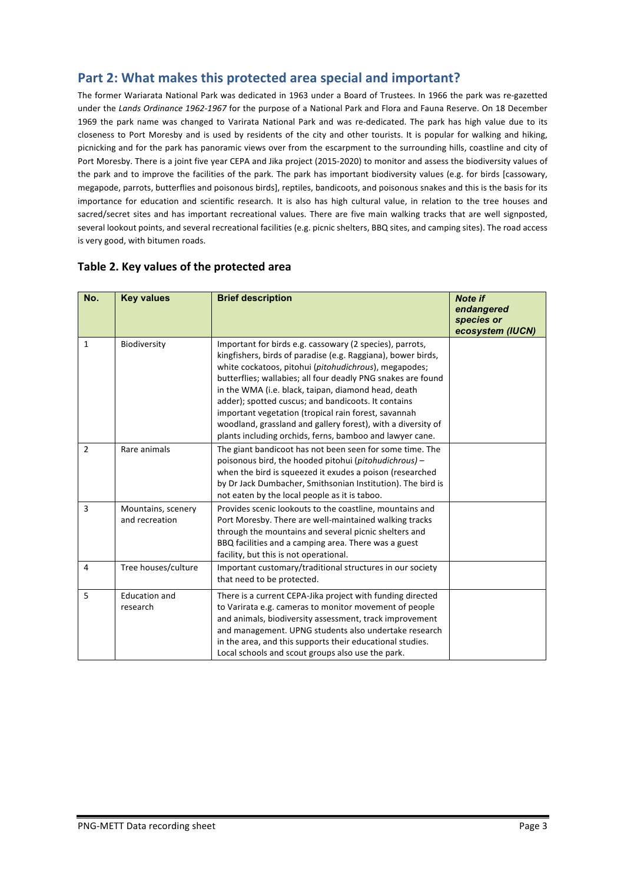### Part 2: What makes this protected area special and important?

The former Wariarata National Park was dedicated in 1963 under a Board of Trustees. In 1966 the park was re-gazetted under the Lands Ordinance 1962-1967 for the purpose of a National Park and Flora and Fauna Reserve. On 18 December 1969 the park name was changed to Varirata National Park and was re-dedicated. The park has high value due to its closeness to Port Moresby and is used by residents of the city and other tourists. It is popular for walking and hiking, picnicking and for the park has panoramic views over from the escarpment to the surrounding hills, coastline and city of Port Moresby. There is a joint five year CEPA and Jika project (2015-2020) to monitor and assess the biodiversity values of the park and to improve the facilities of the park. The park has important biodiversity values (e.g. for birds [cassowary, megapode, parrots, butterflies and poisonous birds], reptiles, bandicoots, and poisonous snakes and this is the basis for its importance for education and scientific research. It is also has high cultural value, in relation to the tree houses and sacred/secret sites and has important recreational values. There are five main walking tracks that are well signposted, several lookout points, and several recreational facilities (e.g. picnic shelters, BBQ sites, and camping sites). The road access is very good, with bitumen roads.

| No.            | <b>Key values</b>                    | <b>Brief description</b>                                                                                                                                                                                                                                                                                                                                                                                                                                                                                                                            | <b>Note if</b><br>endangered<br>species or<br>ecosystem (IUCN) |
|----------------|--------------------------------------|-----------------------------------------------------------------------------------------------------------------------------------------------------------------------------------------------------------------------------------------------------------------------------------------------------------------------------------------------------------------------------------------------------------------------------------------------------------------------------------------------------------------------------------------------------|----------------------------------------------------------------|
| $\mathbf{1}$   | Biodiversity                         | Important for birds e.g. cassowary (2 species), parrots,<br>kingfishers, birds of paradise (e.g. Raggiana), bower birds,<br>white cockatoos, pitohui (pitohudichrous), megapodes;<br>butterflies; wallabies; all four deadly PNG snakes are found<br>in the WMA (i.e. black, taipan, diamond head, death<br>adder); spotted cuscus; and bandicoots. It contains<br>important vegetation (tropical rain forest, savannah<br>woodland, grassland and gallery forest), with a diversity of<br>plants including orchids, ferns, bamboo and lawyer cane. |                                                                |
| $\overline{2}$ | Rare animals                         | The giant bandicoot has not been seen for some time. The<br>poisonous bird, the hooded pitohui (pitohudichrous) -<br>when the bird is squeezed it exudes a poison (researched<br>by Dr Jack Dumbacher, Smithsonian Institution). The bird is<br>not eaten by the local people as it is taboo.                                                                                                                                                                                                                                                       |                                                                |
| 3              | Mountains, scenery<br>and recreation | Provides scenic lookouts to the coastline, mountains and<br>Port Moresby. There are well-maintained walking tracks<br>through the mountains and several picnic shelters and<br>BBQ facilities and a camping area. There was a guest<br>facility, but this is not operational.                                                                                                                                                                                                                                                                       |                                                                |
| $\overline{4}$ | Tree houses/culture                  | Important customary/traditional structures in our society<br>that need to be protected.                                                                                                                                                                                                                                                                                                                                                                                                                                                             |                                                                |
| 5              | <b>Education and</b><br>research     | There is a current CEPA-Jika project with funding directed<br>to Varirata e.g. cameras to monitor movement of people<br>and animals, biodiversity assessment, track improvement<br>and management. UPNG students also undertake research<br>in the area, and this supports their educational studies.<br>Local schools and scout groups also use the park.                                                                                                                                                                                          |                                                                |

#### Table 2. Key values of the protected area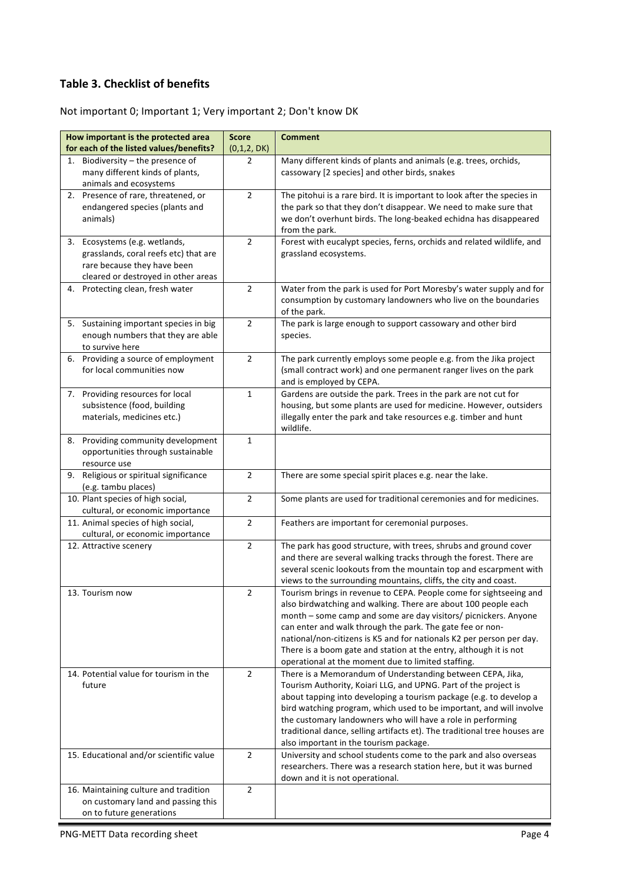### **Table 3. Checklist of benefits**

### Not important 0; Important 1; Very important 2; Don't know DK

| How important is the protected area<br>for each of the listed values/benefits?                                                               | <b>Score</b><br>(0,1,2, DK) | <b>Comment</b>                                                                                                                                                                                                                                                                                                                                                                                                                                                          |
|----------------------------------------------------------------------------------------------------------------------------------------------|-----------------------------|-------------------------------------------------------------------------------------------------------------------------------------------------------------------------------------------------------------------------------------------------------------------------------------------------------------------------------------------------------------------------------------------------------------------------------------------------------------------------|
| 1. Biodiversity - the presence of<br>many different kinds of plants,<br>animals and ecosystems                                               | 2                           | Many different kinds of plants and animals (e.g. trees, orchids,<br>cassowary [2 species] and other birds, snakes                                                                                                                                                                                                                                                                                                                                                       |
| 2. Presence of rare, threatened, or<br>endangered species (plants and<br>animals)                                                            | $\overline{2}$              | The pitohui is a rare bird. It is important to look after the species in<br>the park so that they don't disappear. We need to make sure that<br>we don't overhunt birds. The long-beaked echidna has disappeared<br>from the park.                                                                                                                                                                                                                                      |
| 3. Ecosystems (e.g. wetlands,<br>grasslands, coral reefs etc) that are<br>rare because they have been<br>cleared or destroyed in other areas | $\overline{2}$              | Forest with eucalypt species, ferns, orchids and related wildlife, and<br>grassland ecosystems.                                                                                                                                                                                                                                                                                                                                                                         |
| 4. Protecting clean, fresh water                                                                                                             | $\overline{2}$              | Water from the park is used for Port Moresby's water supply and for<br>consumption by customary landowners who live on the boundaries<br>of the park.                                                                                                                                                                                                                                                                                                                   |
| 5. Sustaining important species in big<br>enough numbers that they are able<br>to survive here                                               | $\overline{2}$              | The park is large enough to support cassowary and other bird<br>species.                                                                                                                                                                                                                                                                                                                                                                                                |
| 6. Providing a source of employment<br>for local communities now                                                                             | $\overline{2}$              | The park currently employs some people e.g. from the Jika project<br>(small contract work) and one permanent ranger lives on the park<br>and is employed by CEPA.                                                                                                                                                                                                                                                                                                       |
| 7. Providing resources for local<br>subsistence (food, building<br>materials, medicines etc.)                                                | $\mathbf{1}$                | Gardens are outside the park. Trees in the park are not cut for<br>housing, but some plants are used for medicine. However, outsiders<br>illegally enter the park and take resources e.g. timber and hunt<br>wildlife.                                                                                                                                                                                                                                                  |
| Providing community development<br>8.<br>opportunities through sustainable<br>resource use                                                   | 1                           |                                                                                                                                                                                                                                                                                                                                                                                                                                                                         |
| Religious or spiritual significance<br>9.<br>(e.g. tambu places)                                                                             | $\overline{2}$              | There are some special spirit places e.g. near the lake.                                                                                                                                                                                                                                                                                                                                                                                                                |
| 10. Plant species of high social,<br>cultural, or economic importance                                                                        | $\overline{2}$              | Some plants are used for traditional ceremonies and for medicines.                                                                                                                                                                                                                                                                                                                                                                                                      |
| 11. Animal species of high social,<br>cultural, or economic importance                                                                       | $\overline{2}$              | Feathers are important for ceremonial purposes.                                                                                                                                                                                                                                                                                                                                                                                                                         |
| 12. Attractive scenery                                                                                                                       | $\overline{2}$              | The park has good structure, with trees, shrubs and ground cover<br>and there are several walking tracks through the forest. There are<br>several scenic lookouts from the mountain top and escarpment with<br>views to the surrounding mountains, cliffs, the city and coast.                                                                                                                                                                                          |
| 13. Tourism now                                                                                                                              | $\overline{2}$              | Tourism brings in revenue to CEPA. People come for sightseeing and<br>also birdwatching and walking. There are about 100 people each<br>month – some camp and some are day visitors/ picnickers. Anyone<br>can enter and walk through the park. The gate fee or non-<br>national/non-citizens is K5 and for nationals K2 per person per day.<br>There is a boom gate and station at the entry, although it is not<br>operational at the moment due to limited staffing. |
| 14. Potential value for tourism in the<br>future                                                                                             | $\overline{2}$              | There is a Memorandum of Understanding between CEPA, Jika,<br>Tourism Authority, Koiari LLG, and UPNG. Part of the project is<br>about tapping into developing a tourism package (e.g. to develop a<br>bird watching program, which used to be important, and will involve<br>the customary landowners who will have a role in performing<br>traditional dance, selling artifacts et). The traditional tree houses are<br>also important in the tourism package.        |
| 15. Educational and/or scientific value                                                                                                      | $\overline{2}$              | University and school students come to the park and also overseas<br>researchers. There was a research station here, but it was burned<br>down and it is not operational.                                                                                                                                                                                                                                                                                               |
| 16. Maintaining culture and tradition<br>on customary land and passing this<br>on to future generations                                      | $\overline{2}$              |                                                                                                                                                                                                                                                                                                                                                                                                                                                                         |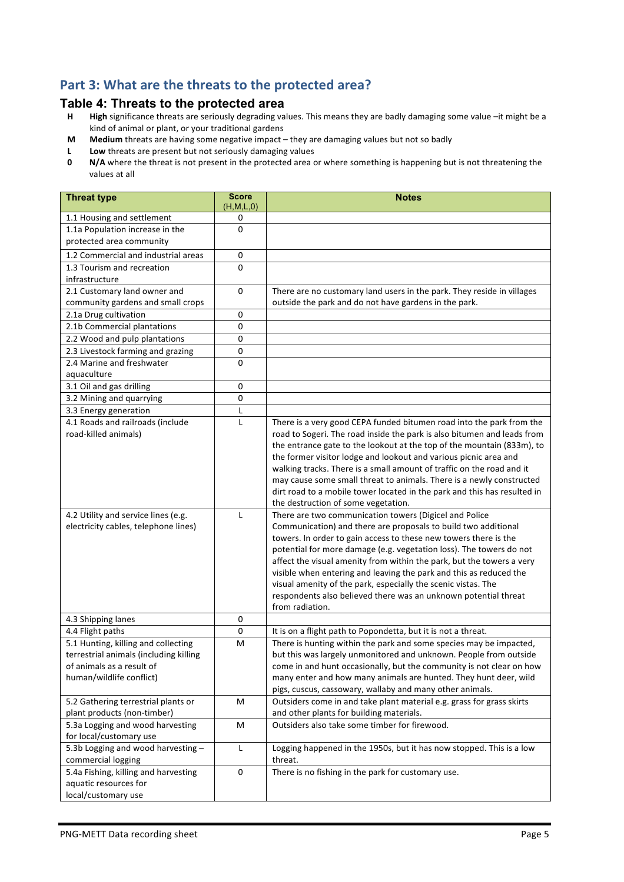### Part 3: What are the threats to the protected area?

# **Table 4: Threats to the protected area**<br>**H** High significance threats are seriously degrading va

- High significance threats are seriously degrading values. This means they are badly damaging some value -it might be a kind of animal or plant, or your traditional gardens
- **M** Medium threats are having some negative impact they are damaging values but not so badly
- **L** Low threats are present but not seriously damaging values<br>**0** N/A where the threat is not present in the protected area c
- **N/A** where the threat is not present in the protected area or where something is happening but is not threatening the values at all

| <b>Threat type</b>                           | <b>Score</b><br>(H, M, L, 0) | <b>Notes</b>                                                                                                    |
|----------------------------------------------|------------------------------|-----------------------------------------------------------------------------------------------------------------|
| 1.1 Housing and settlement                   | 0                            |                                                                                                                 |
| 1.1a Population increase in the              | 0                            |                                                                                                                 |
| protected area community                     |                              |                                                                                                                 |
| 1.2 Commercial and industrial areas          | 0                            |                                                                                                                 |
| 1.3 Tourism and recreation                   | $\Omega$                     |                                                                                                                 |
| infrastructure                               |                              |                                                                                                                 |
| 2.1 Customary land owner and                 | 0                            | There are no customary land users in the park. They reside in villages                                          |
| community gardens and small crops            |                              | outside the park and do not have gardens in the park.                                                           |
| 2.1a Drug cultivation                        | 0                            |                                                                                                                 |
| 2.1b Commercial plantations                  | 0                            |                                                                                                                 |
| 2.2 Wood and pulp plantations                | 0                            |                                                                                                                 |
| 2.3 Livestock farming and grazing            | 0                            |                                                                                                                 |
| 2.4 Marine and freshwater                    | 0                            |                                                                                                                 |
| aquaculture                                  |                              |                                                                                                                 |
| 3.1 Oil and gas drilling                     | 0                            |                                                                                                                 |
| 3.2 Mining and quarrying                     | 0                            |                                                                                                                 |
| 3.3 Energy generation                        | L                            |                                                                                                                 |
| 4.1 Roads and railroads (include             | L                            | There is a very good CEPA funded bitumen road into the park from the                                            |
| road-killed animals)                         |                              | road to Sogeri. The road inside the park is also bitumen and leads from                                         |
|                                              |                              | the entrance gate to the lookout at the top of the mountain (833m), to                                          |
|                                              |                              | the former visitor lodge and lookout and various picnic area and                                                |
|                                              |                              | walking tracks. There is a small amount of traffic on the road and it                                           |
|                                              |                              | may cause some small threat to animals. There is a newly constructed                                            |
|                                              |                              | dirt road to a mobile tower located in the park and this has resulted in<br>the destruction of some vegetation. |
| 4.2 Utility and service lines (e.g.          | $\mathsf{L}$                 | There are two communication towers (Digicel and Police                                                          |
| electricity cables, telephone lines)         |                              | Communication) and there are proposals to build two additional                                                  |
|                                              |                              | towers. In order to gain access to these new towers there is the                                                |
|                                              |                              | potential for more damage (e.g. vegetation loss). The towers do not                                             |
|                                              |                              | affect the visual amenity from within the park, but the towers a very                                           |
|                                              |                              | visible when entering and leaving the park and this as reduced the                                              |
|                                              |                              | visual amenity of the park, especially the scenic vistas. The                                                   |
|                                              |                              | respondents also believed there was an unknown potential threat                                                 |
|                                              |                              | from radiation.                                                                                                 |
| 4.3 Shipping lanes                           | 0                            |                                                                                                                 |
| 4.4 Flight paths                             | 0                            | It is on a flight path to Popondetta, but it is not a threat.                                                   |
| 5.1 Hunting, killing and collecting          | M                            | There is hunting within the park and some species may be impacted,                                              |
| terrestrial animals (including killing       |                              | but this was largely unmonitored and unknown. People from outside                                               |
| of animals as a result of                    |                              | come in and hunt occasionally, but the community is not clear on how                                            |
| human/wildlife conflict)                     |                              | many enter and how many animals are hunted. They hunt deer, wild                                                |
|                                              |                              | pigs, cuscus, cassowary, wallaby and many other animals.                                                        |
| 5.2 Gathering terrestrial plants or          | м                            | Outsiders come in and take plant material e.g. grass for grass skirts                                           |
| plant products (non-timber)                  |                              | and other plants for building materials.                                                                        |
| 5.3a Logging and wood harvesting             | M                            | Outsiders also take some timber for firewood.                                                                   |
| for local/customary use                      |                              |                                                                                                                 |
| 5.3b Logging and wood harvesting -           | L                            | Logging happened in the 1950s, but it has now stopped. This is a low                                            |
| commercial logging                           |                              | threat.                                                                                                         |
| 5.4a Fishing, killing and harvesting         | 0                            | There is no fishing in the park for customary use.                                                              |
| aquatic resources for<br>local/customary use |                              |                                                                                                                 |
|                                              |                              |                                                                                                                 |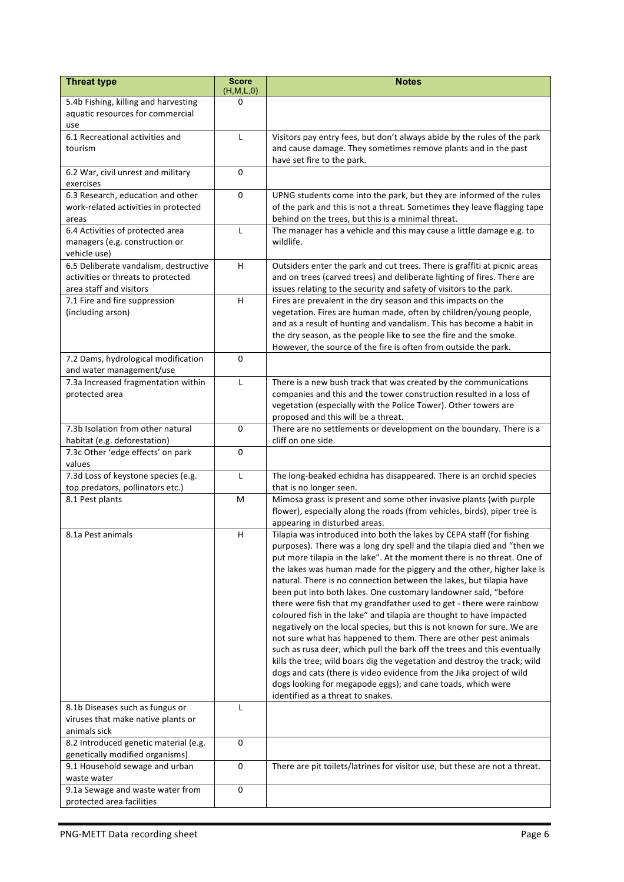| 5.4b Fishing, killing and harvesting<br>0<br>aquatic resources for commercial<br>use<br>6.1 Recreational activities and<br>Visitors pay entry fees, but don't always abide by the rules of the park<br>L<br>and cause damage. They sometimes remove plants and in the past<br>tourism<br>have set fire to the park.<br>$\Omega$<br>6.2 War, civil unrest and military<br>exercises<br>6.3 Research, education and other<br>0<br>UPNG students come into the park, but they are informed of the rules<br>work-related activities in protected<br>of the park and this is not a threat. Sometimes they leave flagging tape<br>behind on the trees, but this is a minimal threat.<br>areas<br>6.4 Activities of protected area<br>The manager has a vehicle and this may cause a little damage e.g. to<br>L<br>wildlife.<br>managers (e.g. construction or<br>vehicle use)<br>H<br>6.5 Deliberate vandalism, destructive<br>Outsiders enter the park and cut trees. There is graffiti at picnic areas<br>activities or threats to protected<br>and on trees (carved trees) and deliberate lighting of fires. There are<br>area staff and visitors<br>issues relating to the security and safety of visitors to the park.<br>7.1 Fire and fire suppression<br>н<br>Fires are prevalent in the dry season and this impacts on the<br>vegetation. Fires are human made, often by children/young people,<br>(including arson)<br>and as a result of hunting and vandalism. This has become a habit in<br>the dry season, as the people like to see the fire and the smoke.<br>However, the source of the fire is often from outside the park.<br>$\mathbf 0$<br>7.2 Dams, hydrological modification<br>and water management/use<br>7.3a Increased fragmentation within<br>L<br>There is a new bush track that was created by the communications<br>companies and this and the tower construction resulted in a loss of<br>protected area<br>vegetation (especially with the Police Tower). Other towers are<br>proposed and this will be a threat.<br>7.3b Isolation from other natural<br>0<br>There are no settlements or development on the boundary. There is a<br>cliff on one side.<br>habitat (e.g. deforestation)<br>7.3c Other 'edge effects' on park<br>$\mathbf 0$<br>values<br>7.3d Loss of keystone species (e.g.<br>The long-beaked echidna has disappeared. There is an orchid species<br>$\mathsf{L}$<br>top predators, pollinators etc.)<br>that is no longer seen.<br>8.1 Pest plants<br>Mimosa grass is present and some other invasive plants (with purple<br>M<br>flower), especially along the roads (from vehicles, birds), piper tree is<br>appearing in disturbed areas.<br>Tilapia was introduced into both the lakes by CEPA staff (for fishing<br>8.1a Pest animals<br>H<br>purposes). There was a long dry spell and the tilapia died and "then we<br>put more tilapia in the lake". At the moment there is no threat. One of<br>the lakes was human made for the piggery and the other, higher lake is<br>natural. There is no connection between the lakes, but tilapia have<br>been put into both lakes. One customary landowner said, "before<br>there were fish that my grandfather used to get - there were rainbow<br>coloured fish in the lake" and tilapia are thought to have impacted<br>negatively on the local species, but this is not known for sure. We are<br>not sure what has happened to them. There are other pest animals<br>such as rusa deer, which pull the bark off the trees and this eventually<br>kills the tree; wild boars dig the vegetation and destroy the track; wild<br>dogs and cats (there is video evidence from the Jika project of wild<br>dogs looking for megapode eggs); and cane toads, which were<br>identified as a threat to snakes.<br>8.1b Diseases such as fungus or<br>L<br>viruses that make native plants or<br>animals sick<br>8.2 Introduced genetic material (e.g.<br>0<br>genetically modified organisms)<br>There are pit toilets/latrines for visitor use, but these are not a threat.<br>9.1 Household sewage and urban<br>$\mathbf 0$<br>waste water<br>9.1a Sewage and waste water from<br>0 | <b>Threat type</b>        | <b>Score</b> | <b>Notes</b> |
|-----------------------------------------------------------------------------------------------------------------------------------------------------------------------------------------------------------------------------------------------------------------------------------------------------------------------------------------------------------------------------------------------------------------------------------------------------------------------------------------------------------------------------------------------------------------------------------------------------------------------------------------------------------------------------------------------------------------------------------------------------------------------------------------------------------------------------------------------------------------------------------------------------------------------------------------------------------------------------------------------------------------------------------------------------------------------------------------------------------------------------------------------------------------------------------------------------------------------------------------------------------------------------------------------------------------------------------------------------------------------------------------------------------------------------------------------------------------------------------------------------------------------------------------------------------------------------------------------------------------------------------------------------------------------------------------------------------------------------------------------------------------------------------------------------------------------------------------------------------------------------------------------------------------------------------------------------------------------------------------------------------------------------------------------------------------------------------------------------------------------------------------------------------------------------------------------------------------------------------------------------------------------------------------------------------------------------------------------------------------------------------------------------------------------------------------------------------------------------------------------------------------------------------------------------------------------------------------------------------------------------------------------------------------------------------------------------------------------------------------------------------------------------------------------------------------------------------------------------------------------------------------------------------------------------------------------------------------------------------------------------------------------------------------------------------------------------------------------------------------------------------------------------------------------------------------------------------------------------------------------------------------------------------------------------------------------------------------------------------------------------------------------------------------------------------------------------------------------------------------------------------------------------------------------------------------------------------------------------------------------------------------------------------------------------------------------------------------------------------------------------------------------------------------------------------------------------------------------------------------------------------------------------------------------------------------------------------------------------------------------------------------------------------------------------------------------------------------------------------------------------------------------------------------------------------|---------------------------|--------------|--------------|
|                                                                                                                                                                                                                                                                                                                                                                                                                                                                                                                                                                                                                                                                                                                                                                                                                                                                                                                                                                                                                                                                                                                                                                                                                                                                                                                                                                                                                                                                                                                                                                                                                                                                                                                                                                                                                                                                                                                                                                                                                                                                                                                                                                                                                                                                                                                                                                                                                                                                                                                                                                                                                                                                                                                                                                                                                                                                                                                                                                                                                                                                                                                                                                                                                                                                                                                                                                                                                                                                                                                                                                                                                                                                                                                                                                                                                                                                                                                                                                                                                                                                                                                                                                                   |                           | (H, M, L, 0) |              |
|                                                                                                                                                                                                                                                                                                                                                                                                                                                                                                                                                                                                                                                                                                                                                                                                                                                                                                                                                                                                                                                                                                                                                                                                                                                                                                                                                                                                                                                                                                                                                                                                                                                                                                                                                                                                                                                                                                                                                                                                                                                                                                                                                                                                                                                                                                                                                                                                                                                                                                                                                                                                                                                                                                                                                                                                                                                                                                                                                                                                                                                                                                                                                                                                                                                                                                                                                                                                                                                                                                                                                                                                                                                                                                                                                                                                                                                                                                                                                                                                                                                                                                                                                                                   |                           |              |              |
|                                                                                                                                                                                                                                                                                                                                                                                                                                                                                                                                                                                                                                                                                                                                                                                                                                                                                                                                                                                                                                                                                                                                                                                                                                                                                                                                                                                                                                                                                                                                                                                                                                                                                                                                                                                                                                                                                                                                                                                                                                                                                                                                                                                                                                                                                                                                                                                                                                                                                                                                                                                                                                                                                                                                                                                                                                                                                                                                                                                                                                                                                                                                                                                                                                                                                                                                                                                                                                                                                                                                                                                                                                                                                                                                                                                                                                                                                                                                                                                                                                                                                                                                                                                   |                           |              |              |
|                                                                                                                                                                                                                                                                                                                                                                                                                                                                                                                                                                                                                                                                                                                                                                                                                                                                                                                                                                                                                                                                                                                                                                                                                                                                                                                                                                                                                                                                                                                                                                                                                                                                                                                                                                                                                                                                                                                                                                                                                                                                                                                                                                                                                                                                                                                                                                                                                                                                                                                                                                                                                                                                                                                                                                                                                                                                                                                                                                                                                                                                                                                                                                                                                                                                                                                                                                                                                                                                                                                                                                                                                                                                                                                                                                                                                                                                                                                                                                                                                                                                                                                                                                                   |                           |              |              |
|                                                                                                                                                                                                                                                                                                                                                                                                                                                                                                                                                                                                                                                                                                                                                                                                                                                                                                                                                                                                                                                                                                                                                                                                                                                                                                                                                                                                                                                                                                                                                                                                                                                                                                                                                                                                                                                                                                                                                                                                                                                                                                                                                                                                                                                                                                                                                                                                                                                                                                                                                                                                                                                                                                                                                                                                                                                                                                                                                                                                                                                                                                                                                                                                                                                                                                                                                                                                                                                                                                                                                                                                                                                                                                                                                                                                                                                                                                                                                                                                                                                                                                                                                                                   |                           |              |              |
|                                                                                                                                                                                                                                                                                                                                                                                                                                                                                                                                                                                                                                                                                                                                                                                                                                                                                                                                                                                                                                                                                                                                                                                                                                                                                                                                                                                                                                                                                                                                                                                                                                                                                                                                                                                                                                                                                                                                                                                                                                                                                                                                                                                                                                                                                                                                                                                                                                                                                                                                                                                                                                                                                                                                                                                                                                                                                                                                                                                                                                                                                                                                                                                                                                                                                                                                                                                                                                                                                                                                                                                                                                                                                                                                                                                                                                                                                                                                                                                                                                                                                                                                                                                   |                           |              |              |
|                                                                                                                                                                                                                                                                                                                                                                                                                                                                                                                                                                                                                                                                                                                                                                                                                                                                                                                                                                                                                                                                                                                                                                                                                                                                                                                                                                                                                                                                                                                                                                                                                                                                                                                                                                                                                                                                                                                                                                                                                                                                                                                                                                                                                                                                                                                                                                                                                                                                                                                                                                                                                                                                                                                                                                                                                                                                                                                                                                                                                                                                                                                                                                                                                                                                                                                                                                                                                                                                                                                                                                                                                                                                                                                                                                                                                                                                                                                                                                                                                                                                                                                                                                                   |                           |              |              |
|                                                                                                                                                                                                                                                                                                                                                                                                                                                                                                                                                                                                                                                                                                                                                                                                                                                                                                                                                                                                                                                                                                                                                                                                                                                                                                                                                                                                                                                                                                                                                                                                                                                                                                                                                                                                                                                                                                                                                                                                                                                                                                                                                                                                                                                                                                                                                                                                                                                                                                                                                                                                                                                                                                                                                                                                                                                                                                                                                                                                                                                                                                                                                                                                                                                                                                                                                                                                                                                                                                                                                                                                                                                                                                                                                                                                                                                                                                                                                                                                                                                                                                                                                                                   |                           |              |              |
|                                                                                                                                                                                                                                                                                                                                                                                                                                                                                                                                                                                                                                                                                                                                                                                                                                                                                                                                                                                                                                                                                                                                                                                                                                                                                                                                                                                                                                                                                                                                                                                                                                                                                                                                                                                                                                                                                                                                                                                                                                                                                                                                                                                                                                                                                                                                                                                                                                                                                                                                                                                                                                                                                                                                                                                                                                                                                                                                                                                                                                                                                                                                                                                                                                                                                                                                                                                                                                                                                                                                                                                                                                                                                                                                                                                                                                                                                                                                                                                                                                                                                                                                                                                   |                           |              |              |
|                                                                                                                                                                                                                                                                                                                                                                                                                                                                                                                                                                                                                                                                                                                                                                                                                                                                                                                                                                                                                                                                                                                                                                                                                                                                                                                                                                                                                                                                                                                                                                                                                                                                                                                                                                                                                                                                                                                                                                                                                                                                                                                                                                                                                                                                                                                                                                                                                                                                                                                                                                                                                                                                                                                                                                                                                                                                                                                                                                                                                                                                                                                                                                                                                                                                                                                                                                                                                                                                                                                                                                                                                                                                                                                                                                                                                                                                                                                                                                                                                                                                                                                                                                                   |                           |              |              |
|                                                                                                                                                                                                                                                                                                                                                                                                                                                                                                                                                                                                                                                                                                                                                                                                                                                                                                                                                                                                                                                                                                                                                                                                                                                                                                                                                                                                                                                                                                                                                                                                                                                                                                                                                                                                                                                                                                                                                                                                                                                                                                                                                                                                                                                                                                                                                                                                                                                                                                                                                                                                                                                                                                                                                                                                                                                                                                                                                                                                                                                                                                                                                                                                                                                                                                                                                                                                                                                                                                                                                                                                                                                                                                                                                                                                                                                                                                                                                                                                                                                                                                                                                                                   |                           |              |              |
|                                                                                                                                                                                                                                                                                                                                                                                                                                                                                                                                                                                                                                                                                                                                                                                                                                                                                                                                                                                                                                                                                                                                                                                                                                                                                                                                                                                                                                                                                                                                                                                                                                                                                                                                                                                                                                                                                                                                                                                                                                                                                                                                                                                                                                                                                                                                                                                                                                                                                                                                                                                                                                                                                                                                                                                                                                                                                                                                                                                                                                                                                                                                                                                                                                                                                                                                                                                                                                                                                                                                                                                                                                                                                                                                                                                                                                                                                                                                                                                                                                                                                                                                                                                   |                           |              |              |
|                                                                                                                                                                                                                                                                                                                                                                                                                                                                                                                                                                                                                                                                                                                                                                                                                                                                                                                                                                                                                                                                                                                                                                                                                                                                                                                                                                                                                                                                                                                                                                                                                                                                                                                                                                                                                                                                                                                                                                                                                                                                                                                                                                                                                                                                                                                                                                                                                                                                                                                                                                                                                                                                                                                                                                                                                                                                                                                                                                                                                                                                                                                                                                                                                                                                                                                                                                                                                                                                                                                                                                                                                                                                                                                                                                                                                                                                                                                                                                                                                                                                                                                                                                                   |                           |              |              |
|                                                                                                                                                                                                                                                                                                                                                                                                                                                                                                                                                                                                                                                                                                                                                                                                                                                                                                                                                                                                                                                                                                                                                                                                                                                                                                                                                                                                                                                                                                                                                                                                                                                                                                                                                                                                                                                                                                                                                                                                                                                                                                                                                                                                                                                                                                                                                                                                                                                                                                                                                                                                                                                                                                                                                                                                                                                                                                                                                                                                                                                                                                                                                                                                                                                                                                                                                                                                                                                                                                                                                                                                                                                                                                                                                                                                                                                                                                                                                                                                                                                                                                                                                                                   |                           |              |              |
|                                                                                                                                                                                                                                                                                                                                                                                                                                                                                                                                                                                                                                                                                                                                                                                                                                                                                                                                                                                                                                                                                                                                                                                                                                                                                                                                                                                                                                                                                                                                                                                                                                                                                                                                                                                                                                                                                                                                                                                                                                                                                                                                                                                                                                                                                                                                                                                                                                                                                                                                                                                                                                                                                                                                                                                                                                                                                                                                                                                                                                                                                                                                                                                                                                                                                                                                                                                                                                                                                                                                                                                                                                                                                                                                                                                                                                                                                                                                                                                                                                                                                                                                                                                   |                           |              |              |
|                                                                                                                                                                                                                                                                                                                                                                                                                                                                                                                                                                                                                                                                                                                                                                                                                                                                                                                                                                                                                                                                                                                                                                                                                                                                                                                                                                                                                                                                                                                                                                                                                                                                                                                                                                                                                                                                                                                                                                                                                                                                                                                                                                                                                                                                                                                                                                                                                                                                                                                                                                                                                                                                                                                                                                                                                                                                                                                                                                                                                                                                                                                                                                                                                                                                                                                                                                                                                                                                                                                                                                                                                                                                                                                                                                                                                                                                                                                                                                                                                                                                                                                                                                                   |                           |              |              |
|                                                                                                                                                                                                                                                                                                                                                                                                                                                                                                                                                                                                                                                                                                                                                                                                                                                                                                                                                                                                                                                                                                                                                                                                                                                                                                                                                                                                                                                                                                                                                                                                                                                                                                                                                                                                                                                                                                                                                                                                                                                                                                                                                                                                                                                                                                                                                                                                                                                                                                                                                                                                                                                                                                                                                                                                                                                                                                                                                                                                                                                                                                                                                                                                                                                                                                                                                                                                                                                                                                                                                                                                                                                                                                                                                                                                                                                                                                                                                                                                                                                                                                                                                                                   |                           |              |              |
|                                                                                                                                                                                                                                                                                                                                                                                                                                                                                                                                                                                                                                                                                                                                                                                                                                                                                                                                                                                                                                                                                                                                                                                                                                                                                                                                                                                                                                                                                                                                                                                                                                                                                                                                                                                                                                                                                                                                                                                                                                                                                                                                                                                                                                                                                                                                                                                                                                                                                                                                                                                                                                                                                                                                                                                                                                                                                                                                                                                                                                                                                                                                                                                                                                                                                                                                                                                                                                                                                                                                                                                                                                                                                                                                                                                                                                                                                                                                                                                                                                                                                                                                                                                   |                           |              |              |
|                                                                                                                                                                                                                                                                                                                                                                                                                                                                                                                                                                                                                                                                                                                                                                                                                                                                                                                                                                                                                                                                                                                                                                                                                                                                                                                                                                                                                                                                                                                                                                                                                                                                                                                                                                                                                                                                                                                                                                                                                                                                                                                                                                                                                                                                                                                                                                                                                                                                                                                                                                                                                                                                                                                                                                                                                                                                                                                                                                                                                                                                                                                                                                                                                                                                                                                                                                                                                                                                                                                                                                                                                                                                                                                                                                                                                                                                                                                                                                                                                                                                                                                                                                                   |                           |              |              |
|                                                                                                                                                                                                                                                                                                                                                                                                                                                                                                                                                                                                                                                                                                                                                                                                                                                                                                                                                                                                                                                                                                                                                                                                                                                                                                                                                                                                                                                                                                                                                                                                                                                                                                                                                                                                                                                                                                                                                                                                                                                                                                                                                                                                                                                                                                                                                                                                                                                                                                                                                                                                                                                                                                                                                                                                                                                                                                                                                                                                                                                                                                                                                                                                                                                                                                                                                                                                                                                                                                                                                                                                                                                                                                                                                                                                                                                                                                                                                                                                                                                                                                                                                                                   |                           |              |              |
|                                                                                                                                                                                                                                                                                                                                                                                                                                                                                                                                                                                                                                                                                                                                                                                                                                                                                                                                                                                                                                                                                                                                                                                                                                                                                                                                                                                                                                                                                                                                                                                                                                                                                                                                                                                                                                                                                                                                                                                                                                                                                                                                                                                                                                                                                                                                                                                                                                                                                                                                                                                                                                                                                                                                                                                                                                                                                                                                                                                                                                                                                                                                                                                                                                                                                                                                                                                                                                                                                                                                                                                                                                                                                                                                                                                                                                                                                                                                                                                                                                                                                                                                                                                   |                           |              |              |
|                                                                                                                                                                                                                                                                                                                                                                                                                                                                                                                                                                                                                                                                                                                                                                                                                                                                                                                                                                                                                                                                                                                                                                                                                                                                                                                                                                                                                                                                                                                                                                                                                                                                                                                                                                                                                                                                                                                                                                                                                                                                                                                                                                                                                                                                                                                                                                                                                                                                                                                                                                                                                                                                                                                                                                                                                                                                                                                                                                                                                                                                                                                                                                                                                                                                                                                                                                                                                                                                                                                                                                                                                                                                                                                                                                                                                                                                                                                                                                                                                                                                                                                                                                                   |                           |              |              |
|                                                                                                                                                                                                                                                                                                                                                                                                                                                                                                                                                                                                                                                                                                                                                                                                                                                                                                                                                                                                                                                                                                                                                                                                                                                                                                                                                                                                                                                                                                                                                                                                                                                                                                                                                                                                                                                                                                                                                                                                                                                                                                                                                                                                                                                                                                                                                                                                                                                                                                                                                                                                                                                                                                                                                                                                                                                                                                                                                                                                                                                                                                                                                                                                                                                                                                                                                                                                                                                                                                                                                                                                                                                                                                                                                                                                                                                                                                                                                                                                                                                                                                                                                                                   |                           |              |              |
|                                                                                                                                                                                                                                                                                                                                                                                                                                                                                                                                                                                                                                                                                                                                                                                                                                                                                                                                                                                                                                                                                                                                                                                                                                                                                                                                                                                                                                                                                                                                                                                                                                                                                                                                                                                                                                                                                                                                                                                                                                                                                                                                                                                                                                                                                                                                                                                                                                                                                                                                                                                                                                                                                                                                                                                                                                                                                                                                                                                                                                                                                                                                                                                                                                                                                                                                                                                                                                                                                                                                                                                                                                                                                                                                                                                                                                                                                                                                                                                                                                                                                                                                                                                   |                           |              |              |
|                                                                                                                                                                                                                                                                                                                                                                                                                                                                                                                                                                                                                                                                                                                                                                                                                                                                                                                                                                                                                                                                                                                                                                                                                                                                                                                                                                                                                                                                                                                                                                                                                                                                                                                                                                                                                                                                                                                                                                                                                                                                                                                                                                                                                                                                                                                                                                                                                                                                                                                                                                                                                                                                                                                                                                                                                                                                                                                                                                                                                                                                                                                                                                                                                                                                                                                                                                                                                                                                                                                                                                                                                                                                                                                                                                                                                                                                                                                                                                                                                                                                                                                                                                                   |                           |              |              |
|                                                                                                                                                                                                                                                                                                                                                                                                                                                                                                                                                                                                                                                                                                                                                                                                                                                                                                                                                                                                                                                                                                                                                                                                                                                                                                                                                                                                                                                                                                                                                                                                                                                                                                                                                                                                                                                                                                                                                                                                                                                                                                                                                                                                                                                                                                                                                                                                                                                                                                                                                                                                                                                                                                                                                                                                                                                                                                                                                                                                                                                                                                                                                                                                                                                                                                                                                                                                                                                                                                                                                                                                                                                                                                                                                                                                                                                                                                                                                                                                                                                                                                                                                                                   |                           |              |              |
|                                                                                                                                                                                                                                                                                                                                                                                                                                                                                                                                                                                                                                                                                                                                                                                                                                                                                                                                                                                                                                                                                                                                                                                                                                                                                                                                                                                                                                                                                                                                                                                                                                                                                                                                                                                                                                                                                                                                                                                                                                                                                                                                                                                                                                                                                                                                                                                                                                                                                                                                                                                                                                                                                                                                                                                                                                                                                                                                                                                                                                                                                                                                                                                                                                                                                                                                                                                                                                                                                                                                                                                                                                                                                                                                                                                                                                                                                                                                                                                                                                                                                                                                                                                   |                           |              |              |
|                                                                                                                                                                                                                                                                                                                                                                                                                                                                                                                                                                                                                                                                                                                                                                                                                                                                                                                                                                                                                                                                                                                                                                                                                                                                                                                                                                                                                                                                                                                                                                                                                                                                                                                                                                                                                                                                                                                                                                                                                                                                                                                                                                                                                                                                                                                                                                                                                                                                                                                                                                                                                                                                                                                                                                                                                                                                                                                                                                                                                                                                                                                                                                                                                                                                                                                                                                                                                                                                                                                                                                                                                                                                                                                                                                                                                                                                                                                                                                                                                                                                                                                                                                                   |                           |              |              |
|                                                                                                                                                                                                                                                                                                                                                                                                                                                                                                                                                                                                                                                                                                                                                                                                                                                                                                                                                                                                                                                                                                                                                                                                                                                                                                                                                                                                                                                                                                                                                                                                                                                                                                                                                                                                                                                                                                                                                                                                                                                                                                                                                                                                                                                                                                                                                                                                                                                                                                                                                                                                                                                                                                                                                                                                                                                                                                                                                                                                                                                                                                                                                                                                                                                                                                                                                                                                                                                                                                                                                                                                                                                                                                                                                                                                                                                                                                                                                                                                                                                                                                                                                                                   |                           |              |              |
|                                                                                                                                                                                                                                                                                                                                                                                                                                                                                                                                                                                                                                                                                                                                                                                                                                                                                                                                                                                                                                                                                                                                                                                                                                                                                                                                                                                                                                                                                                                                                                                                                                                                                                                                                                                                                                                                                                                                                                                                                                                                                                                                                                                                                                                                                                                                                                                                                                                                                                                                                                                                                                                                                                                                                                                                                                                                                                                                                                                                                                                                                                                                                                                                                                                                                                                                                                                                                                                                                                                                                                                                                                                                                                                                                                                                                                                                                                                                                                                                                                                                                                                                                                                   |                           |              |              |
|                                                                                                                                                                                                                                                                                                                                                                                                                                                                                                                                                                                                                                                                                                                                                                                                                                                                                                                                                                                                                                                                                                                                                                                                                                                                                                                                                                                                                                                                                                                                                                                                                                                                                                                                                                                                                                                                                                                                                                                                                                                                                                                                                                                                                                                                                                                                                                                                                                                                                                                                                                                                                                                                                                                                                                                                                                                                                                                                                                                                                                                                                                                                                                                                                                                                                                                                                                                                                                                                                                                                                                                                                                                                                                                                                                                                                                                                                                                                                                                                                                                                                                                                                                                   |                           |              |              |
|                                                                                                                                                                                                                                                                                                                                                                                                                                                                                                                                                                                                                                                                                                                                                                                                                                                                                                                                                                                                                                                                                                                                                                                                                                                                                                                                                                                                                                                                                                                                                                                                                                                                                                                                                                                                                                                                                                                                                                                                                                                                                                                                                                                                                                                                                                                                                                                                                                                                                                                                                                                                                                                                                                                                                                                                                                                                                                                                                                                                                                                                                                                                                                                                                                                                                                                                                                                                                                                                                                                                                                                                                                                                                                                                                                                                                                                                                                                                                                                                                                                                                                                                                                                   |                           |              |              |
|                                                                                                                                                                                                                                                                                                                                                                                                                                                                                                                                                                                                                                                                                                                                                                                                                                                                                                                                                                                                                                                                                                                                                                                                                                                                                                                                                                                                                                                                                                                                                                                                                                                                                                                                                                                                                                                                                                                                                                                                                                                                                                                                                                                                                                                                                                                                                                                                                                                                                                                                                                                                                                                                                                                                                                                                                                                                                                                                                                                                                                                                                                                                                                                                                                                                                                                                                                                                                                                                                                                                                                                                                                                                                                                                                                                                                                                                                                                                                                                                                                                                                                                                                                                   |                           |              |              |
|                                                                                                                                                                                                                                                                                                                                                                                                                                                                                                                                                                                                                                                                                                                                                                                                                                                                                                                                                                                                                                                                                                                                                                                                                                                                                                                                                                                                                                                                                                                                                                                                                                                                                                                                                                                                                                                                                                                                                                                                                                                                                                                                                                                                                                                                                                                                                                                                                                                                                                                                                                                                                                                                                                                                                                                                                                                                                                                                                                                                                                                                                                                                                                                                                                                                                                                                                                                                                                                                                                                                                                                                                                                                                                                                                                                                                                                                                                                                                                                                                                                                                                                                                                                   |                           |              |              |
|                                                                                                                                                                                                                                                                                                                                                                                                                                                                                                                                                                                                                                                                                                                                                                                                                                                                                                                                                                                                                                                                                                                                                                                                                                                                                                                                                                                                                                                                                                                                                                                                                                                                                                                                                                                                                                                                                                                                                                                                                                                                                                                                                                                                                                                                                                                                                                                                                                                                                                                                                                                                                                                                                                                                                                                                                                                                                                                                                                                                                                                                                                                                                                                                                                                                                                                                                                                                                                                                                                                                                                                                                                                                                                                                                                                                                                                                                                                                                                                                                                                                                                                                                                                   |                           |              |              |
|                                                                                                                                                                                                                                                                                                                                                                                                                                                                                                                                                                                                                                                                                                                                                                                                                                                                                                                                                                                                                                                                                                                                                                                                                                                                                                                                                                                                                                                                                                                                                                                                                                                                                                                                                                                                                                                                                                                                                                                                                                                                                                                                                                                                                                                                                                                                                                                                                                                                                                                                                                                                                                                                                                                                                                                                                                                                                                                                                                                                                                                                                                                                                                                                                                                                                                                                                                                                                                                                                                                                                                                                                                                                                                                                                                                                                                                                                                                                                                                                                                                                                                                                                                                   |                           |              |              |
|                                                                                                                                                                                                                                                                                                                                                                                                                                                                                                                                                                                                                                                                                                                                                                                                                                                                                                                                                                                                                                                                                                                                                                                                                                                                                                                                                                                                                                                                                                                                                                                                                                                                                                                                                                                                                                                                                                                                                                                                                                                                                                                                                                                                                                                                                                                                                                                                                                                                                                                                                                                                                                                                                                                                                                                                                                                                                                                                                                                                                                                                                                                                                                                                                                                                                                                                                                                                                                                                                                                                                                                                                                                                                                                                                                                                                                                                                                                                                                                                                                                                                                                                                                                   |                           |              |              |
|                                                                                                                                                                                                                                                                                                                                                                                                                                                                                                                                                                                                                                                                                                                                                                                                                                                                                                                                                                                                                                                                                                                                                                                                                                                                                                                                                                                                                                                                                                                                                                                                                                                                                                                                                                                                                                                                                                                                                                                                                                                                                                                                                                                                                                                                                                                                                                                                                                                                                                                                                                                                                                                                                                                                                                                                                                                                                                                                                                                                                                                                                                                                                                                                                                                                                                                                                                                                                                                                                                                                                                                                                                                                                                                                                                                                                                                                                                                                                                                                                                                                                                                                                                                   |                           |              |              |
|                                                                                                                                                                                                                                                                                                                                                                                                                                                                                                                                                                                                                                                                                                                                                                                                                                                                                                                                                                                                                                                                                                                                                                                                                                                                                                                                                                                                                                                                                                                                                                                                                                                                                                                                                                                                                                                                                                                                                                                                                                                                                                                                                                                                                                                                                                                                                                                                                                                                                                                                                                                                                                                                                                                                                                                                                                                                                                                                                                                                                                                                                                                                                                                                                                                                                                                                                                                                                                                                                                                                                                                                                                                                                                                                                                                                                                                                                                                                                                                                                                                                                                                                                                                   |                           |              |              |
|                                                                                                                                                                                                                                                                                                                                                                                                                                                                                                                                                                                                                                                                                                                                                                                                                                                                                                                                                                                                                                                                                                                                                                                                                                                                                                                                                                                                                                                                                                                                                                                                                                                                                                                                                                                                                                                                                                                                                                                                                                                                                                                                                                                                                                                                                                                                                                                                                                                                                                                                                                                                                                                                                                                                                                                                                                                                                                                                                                                                                                                                                                                                                                                                                                                                                                                                                                                                                                                                                                                                                                                                                                                                                                                                                                                                                                                                                                                                                                                                                                                                                                                                                                                   |                           |              |              |
|                                                                                                                                                                                                                                                                                                                                                                                                                                                                                                                                                                                                                                                                                                                                                                                                                                                                                                                                                                                                                                                                                                                                                                                                                                                                                                                                                                                                                                                                                                                                                                                                                                                                                                                                                                                                                                                                                                                                                                                                                                                                                                                                                                                                                                                                                                                                                                                                                                                                                                                                                                                                                                                                                                                                                                                                                                                                                                                                                                                                                                                                                                                                                                                                                                                                                                                                                                                                                                                                                                                                                                                                                                                                                                                                                                                                                                                                                                                                                                                                                                                                                                                                                                                   |                           |              |              |
|                                                                                                                                                                                                                                                                                                                                                                                                                                                                                                                                                                                                                                                                                                                                                                                                                                                                                                                                                                                                                                                                                                                                                                                                                                                                                                                                                                                                                                                                                                                                                                                                                                                                                                                                                                                                                                                                                                                                                                                                                                                                                                                                                                                                                                                                                                                                                                                                                                                                                                                                                                                                                                                                                                                                                                                                                                                                                                                                                                                                                                                                                                                                                                                                                                                                                                                                                                                                                                                                                                                                                                                                                                                                                                                                                                                                                                                                                                                                                                                                                                                                                                                                                                                   |                           |              |              |
|                                                                                                                                                                                                                                                                                                                                                                                                                                                                                                                                                                                                                                                                                                                                                                                                                                                                                                                                                                                                                                                                                                                                                                                                                                                                                                                                                                                                                                                                                                                                                                                                                                                                                                                                                                                                                                                                                                                                                                                                                                                                                                                                                                                                                                                                                                                                                                                                                                                                                                                                                                                                                                                                                                                                                                                                                                                                                                                                                                                                                                                                                                                                                                                                                                                                                                                                                                                                                                                                                                                                                                                                                                                                                                                                                                                                                                                                                                                                                                                                                                                                                                                                                                                   |                           |              |              |
|                                                                                                                                                                                                                                                                                                                                                                                                                                                                                                                                                                                                                                                                                                                                                                                                                                                                                                                                                                                                                                                                                                                                                                                                                                                                                                                                                                                                                                                                                                                                                                                                                                                                                                                                                                                                                                                                                                                                                                                                                                                                                                                                                                                                                                                                                                                                                                                                                                                                                                                                                                                                                                                                                                                                                                                                                                                                                                                                                                                                                                                                                                                                                                                                                                                                                                                                                                                                                                                                                                                                                                                                                                                                                                                                                                                                                                                                                                                                                                                                                                                                                                                                                                                   |                           |              |              |
|                                                                                                                                                                                                                                                                                                                                                                                                                                                                                                                                                                                                                                                                                                                                                                                                                                                                                                                                                                                                                                                                                                                                                                                                                                                                                                                                                                                                                                                                                                                                                                                                                                                                                                                                                                                                                                                                                                                                                                                                                                                                                                                                                                                                                                                                                                                                                                                                                                                                                                                                                                                                                                                                                                                                                                                                                                                                                                                                                                                                                                                                                                                                                                                                                                                                                                                                                                                                                                                                                                                                                                                                                                                                                                                                                                                                                                                                                                                                                                                                                                                                                                                                                                                   |                           |              |              |
|                                                                                                                                                                                                                                                                                                                                                                                                                                                                                                                                                                                                                                                                                                                                                                                                                                                                                                                                                                                                                                                                                                                                                                                                                                                                                                                                                                                                                                                                                                                                                                                                                                                                                                                                                                                                                                                                                                                                                                                                                                                                                                                                                                                                                                                                                                                                                                                                                                                                                                                                                                                                                                                                                                                                                                                                                                                                                                                                                                                                                                                                                                                                                                                                                                                                                                                                                                                                                                                                                                                                                                                                                                                                                                                                                                                                                                                                                                                                                                                                                                                                                                                                                                                   |                           |              |              |
|                                                                                                                                                                                                                                                                                                                                                                                                                                                                                                                                                                                                                                                                                                                                                                                                                                                                                                                                                                                                                                                                                                                                                                                                                                                                                                                                                                                                                                                                                                                                                                                                                                                                                                                                                                                                                                                                                                                                                                                                                                                                                                                                                                                                                                                                                                                                                                                                                                                                                                                                                                                                                                                                                                                                                                                                                                                                                                                                                                                                                                                                                                                                                                                                                                                                                                                                                                                                                                                                                                                                                                                                                                                                                                                                                                                                                                                                                                                                                                                                                                                                                                                                                                                   |                           |              |              |
|                                                                                                                                                                                                                                                                                                                                                                                                                                                                                                                                                                                                                                                                                                                                                                                                                                                                                                                                                                                                                                                                                                                                                                                                                                                                                                                                                                                                                                                                                                                                                                                                                                                                                                                                                                                                                                                                                                                                                                                                                                                                                                                                                                                                                                                                                                                                                                                                                                                                                                                                                                                                                                                                                                                                                                                                                                                                                                                                                                                                                                                                                                                                                                                                                                                                                                                                                                                                                                                                                                                                                                                                                                                                                                                                                                                                                                                                                                                                                                                                                                                                                                                                                                                   |                           |              |              |
|                                                                                                                                                                                                                                                                                                                                                                                                                                                                                                                                                                                                                                                                                                                                                                                                                                                                                                                                                                                                                                                                                                                                                                                                                                                                                                                                                                                                                                                                                                                                                                                                                                                                                                                                                                                                                                                                                                                                                                                                                                                                                                                                                                                                                                                                                                                                                                                                                                                                                                                                                                                                                                                                                                                                                                                                                                                                                                                                                                                                                                                                                                                                                                                                                                                                                                                                                                                                                                                                                                                                                                                                                                                                                                                                                                                                                                                                                                                                                                                                                                                                                                                                                                                   |                           |              |              |
|                                                                                                                                                                                                                                                                                                                                                                                                                                                                                                                                                                                                                                                                                                                                                                                                                                                                                                                                                                                                                                                                                                                                                                                                                                                                                                                                                                                                                                                                                                                                                                                                                                                                                                                                                                                                                                                                                                                                                                                                                                                                                                                                                                                                                                                                                                                                                                                                                                                                                                                                                                                                                                                                                                                                                                                                                                                                                                                                                                                                                                                                                                                                                                                                                                                                                                                                                                                                                                                                                                                                                                                                                                                                                                                                                                                                                                                                                                                                                                                                                                                                                                                                                                                   |                           |              |              |
|                                                                                                                                                                                                                                                                                                                                                                                                                                                                                                                                                                                                                                                                                                                                                                                                                                                                                                                                                                                                                                                                                                                                                                                                                                                                                                                                                                                                                                                                                                                                                                                                                                                                                                                                                                                                                                                                                                                                                                                                                                                                                                                                                                                                                                                                                                                                                                                                                                                                                                                                                                                                                                                                                                                                                                                                                                                                                                                                                                                                                                                                                                                                                                                                                                                                                                                                                                                                                                                                                                                                                                                                                                                                                                                                                                                                                                                                                                                                                                                                                                                                                                                                                                                   |                           |              |              |
|                                                                                                                                                                                                                                                                                                                                                                                                                                                                                                                                                                                                                                                                                                                                                                                                                                                                                                                                                                                                                                                                                                                                                                                                                                                                                                                                                                                                                                                                                                                                                                                                                                                                                                                                                                                                                                                                                                                                                                                                                                                                                                                                                                                                                                                                                                                                                                                                                                                                                                                                                                                                                                                                                                                                                                                                                                                                                                                                                                                                                                                                                                                                                                                                                                                                                                                                                                                                                                                                                                                                                                                                                                                                                                                                                                                                                                                                                                                                                                                                                                                                                                                                                                                   |                           |              |              |
|                                                                                                                                                                                                                                                                                                                                                                                                                                                                                                                                                                                                                                                                                                                                                                                                                                                                                                                                                                                                                                                                                                                                                                                                                                                                                                                                                                                                                                                                                                                                                                                                                                                                                                                                                                                                                                                                                                                                                                                                                                                                                                                                                                                                                                                                                                                                                                                                                                                                                                                                                                                                                                                                                                                                                                                                                                                                                                                                                                                                                                                                                                                                                                                                                                                                                                                                                                                                                                                                                                                                                                                                                                                                                                                                                                                                                                                                                                                                                                                                                                                                                                                                                                                   |                           |              |              |
|                                                                                                                                                                                                                                                                                                                                                                                                                                                                                                                                                                                                                                                                                                                                                                                                                                                                                                                                                                                                                                                                                                                                                                                                                                                                                                                                                                                                                                                                                                                                                                                                                                                                                                                                                                                                                                                                                                                                                                                                                                                                                                                                                                                                                                                                                                                                                                                                                                                                                                                                                                                                                                                                                                                                                                                                                                                                                                                                                                                                                                                                                                                                                                                                                                                                                                                                                                                                                                                                                                                                                                                                                                                                                                                                                                                                                                                                                                                                                                                                                                                                                                                                                                                   |                           |              |              |
|                                                                                                                                                                                                                                                                                                                                                                                                                                                                                                                                                                                                                                                                                                                                                                                                                                                                                                                                                                                                                                                                                                                                                                                                                                                                                                                                                                                                                                                                                                                                                                                                                                                                                                                                                                                                                                                                                                                                                                                                                                                                                                                                                                                                                                                                                                                                                                                                                                                                                                                                                                                                                                                                                                                                                                                                                                                                                                                                                                                                                                                                                                                                                                                                                                                                                                                                                                                                                                                                                                                                                                                                                                                                                                                                                                                                                                                                                                                                                                                                                                                                                                                                                                                   | protected area facilities |              |              |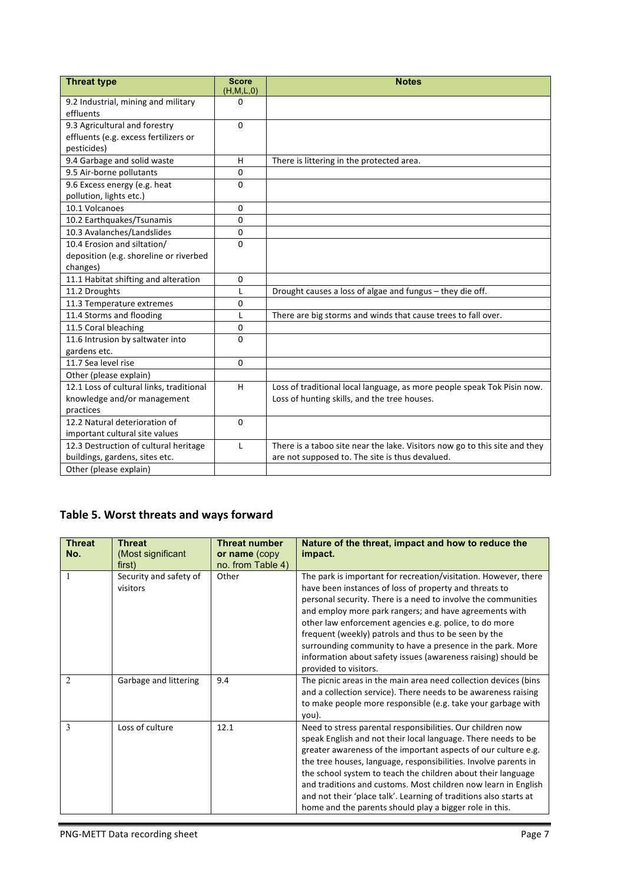| <b>Threat type</b>                                      | <b>Score</b><br>(H, M, L, 0) | <b>Notes</b>                                                               |
|---------------------------------------------------------|------------------------------|----------------------------------------------------------------------------|
| 9.2 Industrial, mining and military<br>effluents        | 0                            |                                                                            |
| 9.3 Agricultural and forestry                           | $\Omega$                     |                                                                            |
| effluents (e.g. excess fertilizers or                   |                              |                                                                            |
| pesticides)                                             |                              |                                                                            |
| 9.4 Garbage and solid waste                             | H                            | There is littering in the protected area.                                  |
| 9.5 Air-borne pollutants                                | 0                            |                                                                            |
| 9.6 Excess energy (e.g. heat<br>pollution, lights etc.) | 0                            |                                                                            |
| 10.1 Volcanoes                                          | $\Omega$                     |                                                                            |
| 10.2 Earthquakes/Tsunamis                               | $\Omega$                     |                                                                            |
| 10.3 Avalanches/Landslides                              | 0                            |                                                                            |
| 10.4 Erosion and siltation/                             | $\Omega$                     |                                                                            |
| deposition (e.g. shoreline or riverbed                  |                              |                                                                            |
| changes)                                                |                              |                                                                            |
| 11.1 Habitat shifting and alteration                    | $\Omega$                     |                                                                            |
| 11.2 Droughts                                           | L                            | Drought causes a loss of algae and fungus - they die off.                  |
| 11.3 Temperature extremes                               | $\Omega$                     |                                                                            |
| 11.4 Storms and flooding                                | $\mathbf{I}$                 | There are big storms and winds that cause trees to fall over.              |
| 11.5 Coral bleaching                                    | $\Omega$                     |                                                                            |
| 11.6 Intrusion by saltwater into                        | $\Omega$                     |                                                                            |
| gardens etc.                                            |                              |                                                                            |
| 11.7 Sea level rise                                     | $\Omega$                     |                                                                            |
| Other (please explain)                                  |                              |                                                                            |
| 12.1 Loss of cultural links, traditional                | H                            | Loss of traditional local language, as more people speak Tok Pisin now.    |
| knowledge and/or management                             |                              | Loss of hunting skills, and the tree houses.                               |
| practices                                               |                              |                                                                            |
| 12.2 Natural deterioration of                           | $\Omega$                     |                                                                            |
| important cultural site values                          |                              |                                                                            |
| 12.3 Destruction of cultural heritage                   | L                            | There is a taboo site near the lake. Visitors now go to this site and they |
| buildings, gardens, sites etc.                          |                              | are not supposed to. The site is thus devalued.                            |
| Other (please explain)                                  |                              |                                                                            |

### Table 5. Worst threats and ways forward

| <b>Threat</b><br>No. | <b>Threat</b><br>(Most significant<br>first) | <b>Threat number</b><br>or name (copy<br>no. from Table 4) | Nature of the threat, impact and how to reduce the<br>impact.                                                                                                                                                                                                                                                                                                                                                                                                                                                                      |
|----------------------|----------------------------------------------|------------------------------------------------------------|------------------------------------------------------------------------------------------------------------------------------------------------------------------------------------------------------------------------------------------------------------------------------------------------------------------------------------------------------------------------------------------------------------------------------------------------------------------------------------------------------------------------------------|
| 1                    | Security and safety of<br>visitors           | Other                                                      | The park is important for recreation/visitation. However, there<br>have been instances of loss of property and threats to<br>personal security. There is a need to involve the communities<br>and employ more park rangers; and have agreements with<br>other law enforcement agencies e.g. police, to do more<br>frequent (weekly) patrols and thus to be seen by the<br>surrounding community to have a presence in the park. More<br>information about safety issues (awareness raising) should be<br>provided to visitors.     |
| $\overline{c}$       | Garbage and littering                        | 9.4                                                        | The picnic areas in the main area need collection devices (bins<br>and a collection service). There needs to be awareness raising<br>to make people more responsible (e.g. take your garbage with<br>you).                                                                                                                                                                                                                                                                                                                         |
| 3                    | Loss of culture                              | 12.1                                                       | Need to stress parental responsibilities. Our children now<br>speak English and not their local language. There needs to be<br>greater awareness of the important aspects of our culture e.g.<br>the tree houses, language, responsibilities. Involve parents in<br>the school system to teach the children about their language<br>and traditions and customs. Most children now learn in English<br>and not their 'place talk'. Learning of traditions also starts at<br>home and the parents should play a bigger role in this. |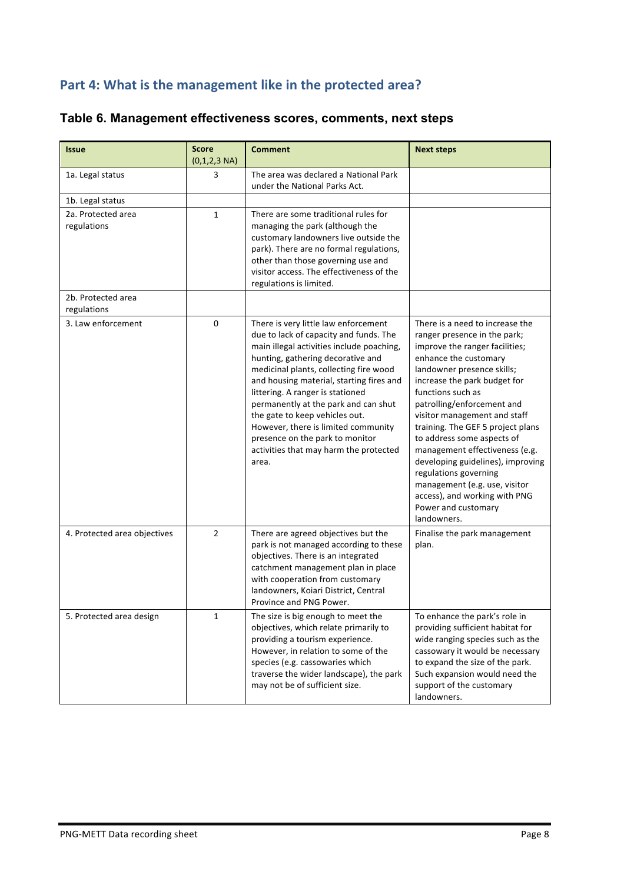# Part 4: What is the management like in the protected area?

| Table 6. Management effectiveness scores, comments, next steps |  |
|----------------------------------------------------------------|--|
|----------------------------------------------------------------|--|

| <b>Issue</b>                      | <b>Score</b><br>$(0,1,2,3 \text{ NA})$ | <b>Comment</b>                                                                                                                                                                                                                                                                                                                                                                                                                                                                                    | <b>Next steps</b>                                                                                                                                                                                                                                                                                                                                                                                                                                                                                                                                      |
|-----------------------------------|----------------------------------------|---------------------------------------------------------------------------------------------------------------------------------------------------------------------------------------------------------------------------------------------------------------------------------------------------------------------------------------------------------------------------------------------------------------------------------------------------------------------------------------------------|--------------------------------------------------------------------------------------------------------------------------------------------------------------------------------------------------------------------------------------------------------------------------------------------------------------------------------------------------------------------------------------------------------------------------------------------------------------------------------------------------------------------------------------------------------|
| 1a. Legal status                  | 3                                      | The area was declared a National Park<br>under the National Parks Act.                                                                                                                                                                                                                                                                                                                                                                                                                            |                                                                                                                                                                                                                                                                                                                                                                                                                                                                                                                                                        |
| 1b. Legal status                  |                                        |                                                                                                                                                                                                                                                                                                                                                                                                                                                                                                   |                                                                                                                                                                                                                                                                                                                                                                                                                                                                                                                                                        |
| 2a. Protected area<br>regulations | 1                                      | There are some traditional rules for<br>managing the park (although the<br>customary landowners live outside the<br>park). There are no formal regulations,<br>other than those governing use and<br>visitor access. The effectiveness of the<br>regulations is limited.                                                                                                                                                                                                                          |                                                                                                                                                                                                                                                                                                                                                                                                                                                                                                                                                        |
| 2b. Protected area<br>regulations |                                        |                                                                                                                                                                                                                                                                                                                                                                                                                                                                                                   |                                                                                                                                                                                                                                                                                                                                                                                                                                                                                                                                                        |
| 3. Law enforcement                | 0                                      | There is very little law enforcement<br>due to lack of capacity and funds. The<br>main illegal activities include poaching,<br>hunting, gathering decorative and<br>medicinal plants, collecting fire wood<br>and housing material, starting fires and<br>littering. A ranger is stationed<br>permanently at the park and can shut<br>the gate to keep vehicles out.<br>However, there is limited community<br>presence on the park to monitor<br>activities that may harm the protected<br>area. | There is a need to increase the<br>ranger presence in the park;<br>improve the ranger facilities;<br>enhance the customary<br>landowner presence skills;<br>increase the park budget for<br>functions such as<br>patrolling/enforcement and<br>visitor management and staff<br>training. The GEF 5 project plans<br>to address some aspects of<br>management effectiveness (e.g.<br>developing guidelines), improving<br>regulations governing<br>management (e.g. use, visitor<br>access), and working with PNG<br>Power and customary<br>landowners. |
| 4. Protected area objectives      | $\overline{2}$                         | There are agreed objectives but the<br>park is not managed according to these<br>objectives. There is an integrated<br>catchment management plan in place<br>with cooperation from customary<br>landowners, Koiari District, Central<br>Province and PNG Power.                                                                                                                                                                                                                                   | Finalise the park management<br>plan.                                                                                                                                                                                                                                                                                                                                                                                                                                                                                                                  |
| 5. Protected area design          | $\mathbf{1}$                           | The size is big enough to meet the<br>objectives, which relate primarily to<br>providing a tourism experience.<br>However, in relation to some of the<br>species (e.g. cassowaries which<br>traverse the wider landscape), the park<br>may not be of sufficient size.                                                                                                                                                                                                                             | To enhance the park's role in<br>providing sufficient habitat for<br>wide ranging species such as the<br>cassowary it would be necessary<br>to expand the size of the park.<br>Such expansion would need the<br>support of the customary<br>landowners.                                                                                                                                                                                                                                                                                                |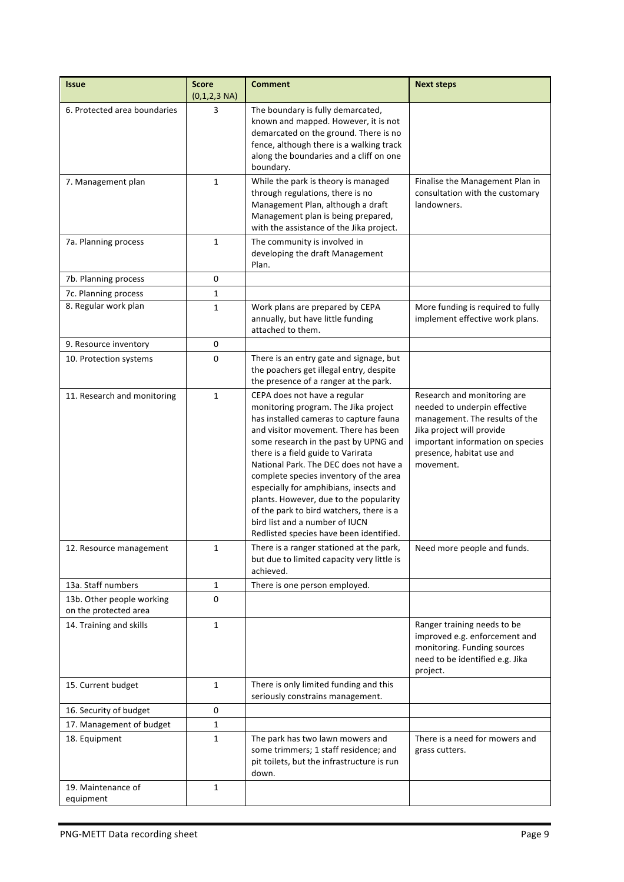| <b>Issue</b>                                       | <b>Score</b><br>$(0,1,2,3 \text{ NA})$ | <b>Comment</b>                                                                                                                                                                                                                                                                                                                                                                                                                                                                                                                         | <b>Next steps</b>                                                                                                                                                                                        |
|----------------------------------------------------|----------------------------------------|----------------------------------------------------------------------------------------------------------------------------------------------------------------------------------------------------------------------------------------------------------------------------------------------------------------------------------------------------------------------------------------------------------------------------------------------------------------------------------------------------------------------------------------|----------------------------------------------------------------------------------------------------------------------------------------------------------------------------------------------------------|
| 6. Protected area boundaries                       | 3                                      | The boundary is fully demarcated,<br>known and mapped. However, it is not<br>demarcated on the ground. There is no<br>fence, although there is a walking track<br>along the boundaries and a cliff on one<br>boundary.                                                                                                                                                                                                                                                                                                                 |                                                                                                                                                                                                          |
| 7. Management plan                                 | $\mathbf{1}$                           | While the park is theory is managed<br>through regulations, there is no<br>Management Plan, although a draft<br>Management plan is being prepared,<br>with the assistance of the Jika project.                                                                                                                                                                                                                                                                                                                                         | Finalise the Management Plan in<br>consultation with the customary<br>landowners.                                                                                                                        |
| 7a. Planning process                               | $\mathbf{1}$                           | The community is involved in<br>developing the draft Management<br>Plan.                                                                                                                                                                                                                                                                                                                                                                                                                                                               |                                                                                                                                                                                                          |
| 7b. Planning process                               | 0                                      |                                                                                                                                                                                                                                                                                                                                                                                                                                                                                                                                        |                                                                                                                                                                                                          |
| 7c. Planning process                               | $\mathbf{1}$                           |                                                                                                                                                                                                                                                                                                                                                                                                                                                                                                                                        |                                                                                                                                                                                                          |
| 8. Regular work plan                               | 1                                      | Work plans are prepared by CEPA<br>annually, but have little funding<br>attached to them.                                                                                                                                                                                                                                                                                                                                                                                                                                              | More funding is required to fully<br>implement effective work plans.                                                                                                                                     |
| 9. Resource inventory                              | 0                                      |                                                                                                                                                                                                                                                                                                                                                                                                                                                                                                                                        |                                                                                                                                                                                                          |
| 10. Protection systems                             | 0                                      | There is an entry gate and signage, but<br>the poachers get illegal entry, despite<br>the presence of a ranger at the park.                                                                                                                                                                                                                                                                                                                                                                                                            |                                                                                                                                                                                                          |
| 11. Research and monitoring                        | $\mathbf{1}$                           | CEPA does not have a regular<br>monitoring program. The Jika project<br>has installed cameras to capture fauna<br>and visitor movement. There has been<br>some research in the past by UPNG and<br>there is a field guide to Varirata<br>National Park. The DEC does not have a<br>complete species inventory of the area<br>especially for amphibians, insects and<br>plants. However, due to the popularity<br>of the park to bird watchers, there is a<br>bird list and a number of IUCN<br>Redlisted species have been identified. | Research and monitoring are<br>needed to underpin effective<br>management. The results of the<br>Jika project will provide<br>important information on species<br>presence, habitat use and<br>movement. |
| 12. Resource management                            | $\mathbf{1}$                           | There is a ranger stationed at the park,<br>but due to limited capacity very little is<br>achieved.                                                                                                                                                                                                                                                                                                                                                                                                                                    | Need more people and funds.                                                                                                                                                                              |
| 13a. Staff numbers                                 | $\mathbf{1}$                           | There is one person employed.                                                                                                                                                                                                                                                                                                                                                                                                                                                                                                          |                                                                                                                                                                                                          |
| 13b. Other people working<br>on the protected area | 0                                      |                                                                                                                                                                                                                                                                                                                                                                                                                                                                                                                                        |                                                                                                                                                                                                          |
| 14. Training and skills                            | $\mathbf{1}$                           |                                                                                                                                                                                                                                                                                                                                                                                                                                                                                                                                        | Ranger training needs to be<br>improved e.g. enforcement and<br>monitoring. Funding sources<br>need to be identified e.g. Jika<br>project.                                                               |
| 15. Current budget                                 | $\mathbf{1}$                           | There is only limited funding and this<br>seriously constrains management.                                                                                                                                                                                                                                                                                                                                                                                                                                                             |                                                                                                                                                                                                          |
| 16. Security of budget                             | 0                                      |                                                                                                                                                                                                                                                                                                                                                                                                                                                                                                                                        |                                                                                                                                                                                                          |
| 17. Management of budget                           | $\mathbf{1}$                           |                                                                                                                                                                                                                                                                                                                                                                                                                                                                                                                                        |                                                                                                                                                                                                          |
| 18. Equipment                                      | $\mathbf{1}$                           | The park has two lawn mowers and<br>some trimmers; 1 staff residence; and<br>pit toilets, but the infrastructure is run<br>down.                                                                                                                                                                                                                                                                                                                                                                                                       | There is a need for mowers and<br>grass cutters.                                                                                                                                                         |
| 19. Maintenance of<br>equipment                    | $\mathbf{1}$                           |                                                                                                                                                                                                                                                                                                                                                                                                                                                                                                                                        |                                                                                                                                                                                                          |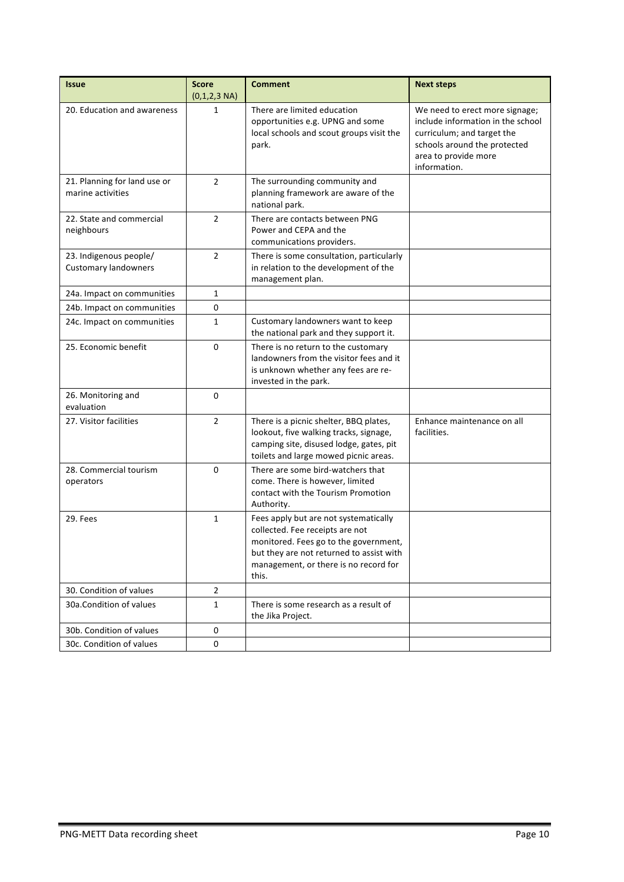| <b>Issue</b>                                          | <b>Score</b><br>$(0,1,2,3 \text{ NA})$ | <b>Comment</b>                                                                                                                                                                                                  | <b>Next steps</b>                                                                                                                                                         |
|-------------------------------------------------------|----------------------------------------|-----------------------------------------------------------------------------------------------------------------------------------------------------------------------------------------------------------------|---------------------------------------------------------------------------------------------------------------------------------------------------------------------------|
| 20. Education and awareness                           | 1                                      | There are limited education<br>opportunities e.g. UPNG and some<br>local schools and scout groups visit the<br>park.                                                                                            | We need to erect more signage;<br>include information in the school<br>curriculum; and target the<br>schools around the protected<br>area to provide more<br>information. |
| 21. Planning for land use or<br>marine activities     | $\overline{2}$                         | The surrounding community and<br>planning framework are aware of the<br>national park.                                                                                                                          |                                                                                                                                                                           |
| 22. State and commercial<br>neighbours                | $\overline{2}$                         | There are contacts between PNG<br>Power and CEPA and the<br>communications providers.                                                                                                                           |                                                                                                                                                                           |
| 23. Indigenous people/<br><b>Customary landowners</b> | $\overline{2}$                         | There is some consultation, particularly<br>in relation to the development of the<br>management plan.                                                                                                           |                                                                                                                                                                           |
| 24a. Impact on communities                            | $\mathbf{1}$                           |                                                                                                                                                                                                                 |                                                                                                                                                                           |
| 24b. Impact on communities                            | 0                                      |                                                                                                                                                                                                                 |                                                                                                                                                                           |
| 24c. Impact on communities                            | $\mathbf{1}$                           | Customary landowners want to keep<br>the national park and they support it.                                                                                                                                     |                                                                                                                                                                           |
| 25. Economic benefit                                  | $\mathbf 0$                            | There is no return to the customary<br>landowners from the visitor fees and it<br>is unknown whether any fees are re-<br>invested in the park.                                                                  |                                                                                                                                                                           |
| 26. Monitoring and<br>evaluation                      | 0                                      |                                                                                                                                                                                                                 |                                                                                                                                                                           |
| 27. Visitor facilities                                | $\overline{2}$                         | There is a picnic shelter, BBQ plates,<br>lookout, five walking tracks, signage,<br>camping site, disused lodge, gates, pit<br>toilets and large mowed picnic areas.                                            | Enhance maintenance on all<br>facilities.                                                                                                                                 |
| 28. Commercial tourism<br>operators                   | 0                                      | There are some bird-watchers that<br>come. There is however, limited<br>contact with the Tourism Promotion<br>Authority.                                                                                        |                                                                                                                                                                           |
| 29. Fees                                              | $\mathbf{1}$                           | Fees apply but are not systematically<br>collected. Fee receipts are not<br>monitored. Fees go to the government,<br>but they are not returned to assist with<br>management, or there is no record for<br>this. |                                                                                                                                                                           |
| 30. Condition of values                               | $\overline{2}$                         |                                                                                                                                                                                                                 |                                                                                                                                                                           |
| 30a.Condition of values                               | $\mathbf{1}$                           | There is some research as a result of<br>the Jika Project.                                                                                                                                                      |                                                                                                                                                                           |
| 30b. Condition of values                              | 0                                      |                                                                                                                                                                                                                 |                                                                                                                                                                           |
| 30c. Condition of values                              | 0                                      |                                                                                                                                                                                                                 |                                                                                                                                                                           |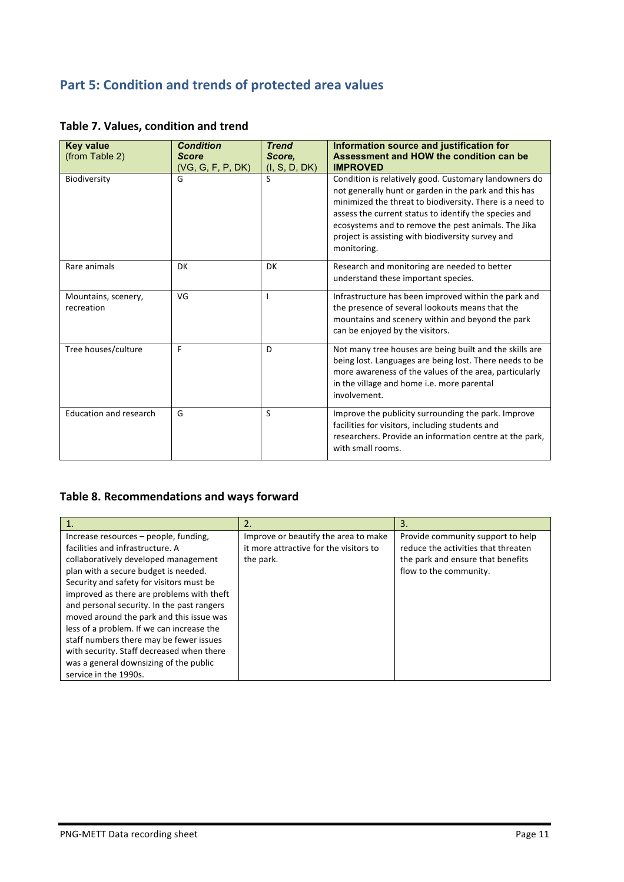## **Part 5: Condition and trends of protected area values**

| <b>Key value</b><br>(from Table 2) | <b>Condition</b><br><b>Score</b><br>(VG, G, F, P, DK) | <b>Trend</b><br>Score,<br>(I, S, D, DK) | Information source and justification for<br>Assessment and HOW the condition can be<br><b>IMPROVED</b>                                                                                                                                                                                                                                                         |
|------------------------------------|-------------------------------------------------------|-----------------------------------------|----------------------------------------------------------------------------------------------------------------------------------------------------------------------------------------------------------------------------------------------------------------------------------------------------------------------------------------------------------------|
| Biodiversity                       | G                                                     | S                                       | Condition is relatively good. Customary landowners do<br>not generally hunt or garden in the park and this has<br>minimized the threat to biodiversity. There is a need to<br>assess the current status to identify the species and<br>ecosystems and to remove the pest animals. The Jika<br>project is assisting with biodiversity survey and<br>monitoring. |
| Rare animals                       | <b>DK</b>                                             | DK                                      | Research and monitoring are needed to better<br>understand these important species.                                                                                                                                                                                                                                                                            |
| Mountains, scenery,<br>recreation  | VG                                                    |                                         | Infrastructure has been improved within the park and<br>the presence of several lookouts means that the<br>mountains and scenery within and beyond the park<br>can be enjoyed by the visitors.                                                                                                                                                                 |
| Tree houses/culture                | F                                                     | D                                       | Not many tree houses are being built and the skills are<br>being lost. Languages are being lost. There needs to be<br>more awareness of the values of the area, particularly<br>in the village and home i.e. more parental<br>involvement.                                                                                                                     |
| <b>Education and research</b>      | G                                                     | S                                       | Improve the publicity surrounding the park. Improve<br>facilities for visitors, including students and<br>researchers. Provide an information centre at the park,<br>with small rooms.                                                                                                                                                                         |

### **Table 7. Values, condition and trend**

### Table 8. Recommendations and ways forward

|                                            | 2.                                     | 3.                                  |
|--------------------------------------------|----------------------------------------|-------------------------------------|
| Increase resources – people, funding,      | Improve or beautify the area to make   | Provide community support to help   |
| facilities and infrastructure. A           | it more attractive for the visitors to | reduce the activities that threaten |
| collaboratively developed management       | the park.                              | the park and ensure that benefits   |
| plan with a secure budget is needed.       |                                        | flow to the community.              |
| Security and safety for visitors must be   |                                        |                                     |
| improved as there are problems with theft  |                                        |                                     |
| and personal security. In the past rangers |                                        |                                     |
| moved around the park and this issue was   |                                        |                                     |
| less of a problem. If we can increase the  |                                        |                                     |
| staff numbers there may be fewer issues    |                                        |                                     |
| with security. Staff decreased when there  |                                        |                                     |
| was a general downsizing of the public     |                                        |                                     |
| service in the 1990s.                      |                                        |                                     |